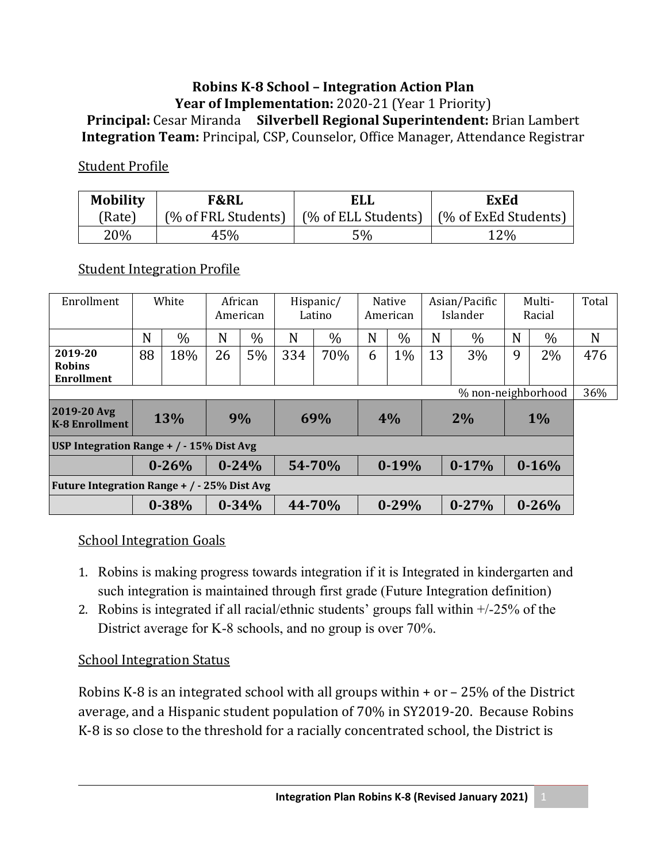#### **Robins K‐8 School – Integration Action Plan Year of Implementation:** 2020-21 (Year 1 Priority) **Principal:** Cesar Miranda **Silverbell Regional Superintendent:** Brian Lambert **Integration Team:** Principal, CSP, Counselor, Office Manager, Attendance Registrar

#### Student Profile

| <b>Mobility</b> | <b>F&amp;RL</b> | ELL | <b>ExEd</b>                                                                    |  |  |  |
|-----------------|-----------------|-----|--------------------------------------------------------------------------------|--|--|--|
| (Rate)          |                 |     | $\frac{1}{2}$ (% of FRL Students)   (% of ELL Students)   (% of ExEd Students) |  |  |  |
| 20%             | 45%             | 5%  | 12%                                                                            |  |  |  |

### Student Integration Profile

| Enrollment                                         | White |           | African<br>American |           | Hispanic/<br>Latino |               | Native<br>American |           | Asian/Pacific<br>Islander |           | Multi-<br>Racial |           | Total |
|----------------------------------------------------|-------|-----------|---------------------|-----------|---------------------|---------------|--------------------|-----------|---------------------------|-----------|------------------|-----------|-------|
|                                                    | N     | $\%$      | N                   | $\%$      | N                   | $\frac{0}{0}$ | N                  | $\%$      | N                         | $\%$      | N                | $\%$      | N     |
| 2019-20<br><b>Robins</b><br><b>Enrollment</b>      | 88    | 18%       | 26                  | 5%        | 334                 | 70%           | 6                  | $1\%$     | 13                        | 3%        | 9                | 2%        | 476   |
| % non-neighborhood                                 |       |           |                     |           |                     |               |                    |           |                           |           |                  | 36%       |       |
| 2019-20 Avg<br><b>K-8 Enrollment</b>               | 13%   |           | 9%                  |           |                     | 69%           | 4%                 |           | 2%                        |           | $1\%$            |           |       |
| USP Integration Range + / - 15% Dist Avg           |       |           |                     |           |                     |               |                    |           |                           |           |                  |           |       |
|                                                    |       | $0 - 26%$ | $0 - 24%$           |           | 54-70%              |               | $0-19%$            |           | $0-17%$                   |           | $0 - 16%$        |           |       |
| <b>Future Integration Range + / - 25% Dist Avg</b> |       |           |                     |           |                     |               |                    |           |                           |           |                  |           |       |
|                                                    |       | $0 - 38%$ |                     | $0 - 34%$ |                     | 44-70%        |                    | $0 - 29%$ |                           | $0 - 27%$ |                  | $0 - 26%$ |       |

#### School Integration Goals

- 1. Robins is making progress towards integration if it is Integrated in kindergarten and such integration is maintained through first grade (Future Integration definition)
- 2. Robins is integrated if all racial/ethnic students' groups fall within  $+/-25\%$  of the District average for K-8 schools, and no group is over 70%.

### School Integration Status

Robins K-8 is an integrated school with all groups within + or – 25% of the District average, and a Hispanic student population of 70% in SY2019-20. Because Robins K-8 is so close to the threshold for a racially concentrated school, the District is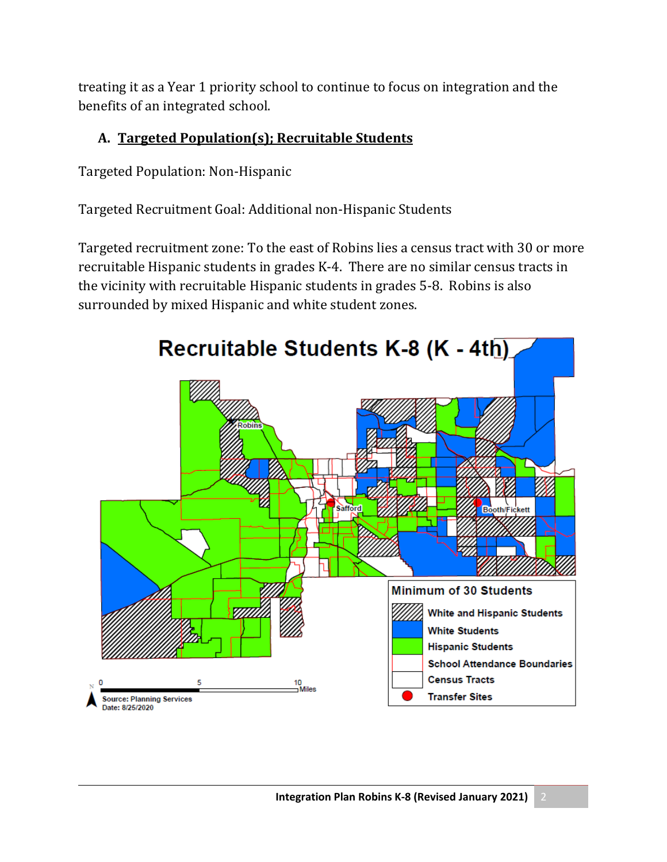treating it as a Year 1 priority school to continue to focus on integration and the benefits of an integrated school.

## **A. Targeted Population(s); Recruitable Students**

Targeted Population: Non-Hispanic

Targeted Recruitment Goal: Additional non-Hispanic Students

Targeted recruitment zone: To the east of Robins lies a census tract with 30 or more recruitable Hispanic students in grades K-4. There are no similar census tracts in the vicinity with recruitable Hispanic students in grades 5-8. Robins is also surrounded by mixed Hispanic and white student zones.

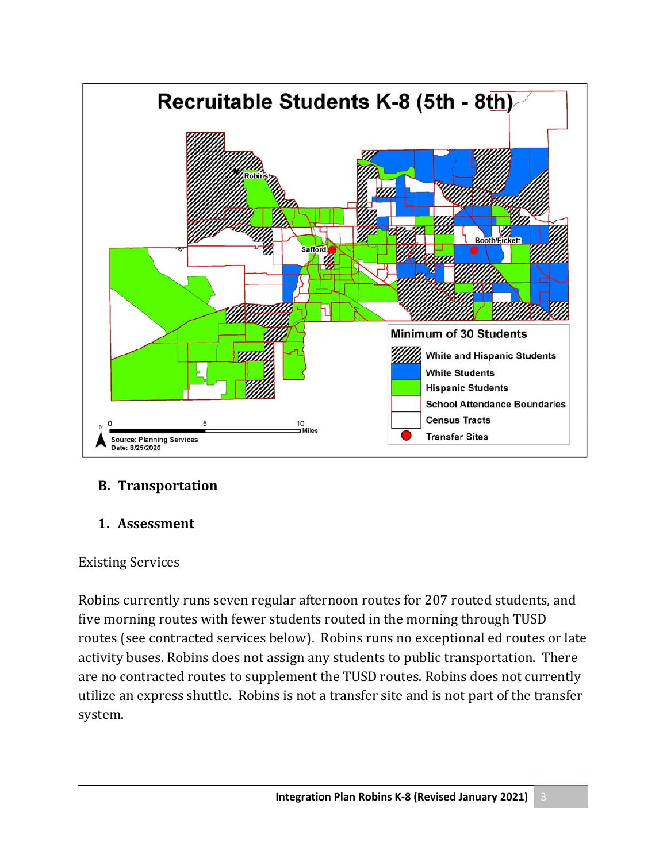

### **B.** Transportation

### 1. Assessment

#### Existing Services

Robins currently runs seven regular afternoon routes for 207 routed students, and five morning routes with fewer students routed in the morning through TUSD routes (see contracted services below). Robins runs no exceptional ed routes or late activity buses. Robins does not assign any students to public transportation. There are no contracted routes to supplement the TUSD routes. Robins does not currently utilize an express shuttle. Robins is not a transfer site and is not part of the transfer system.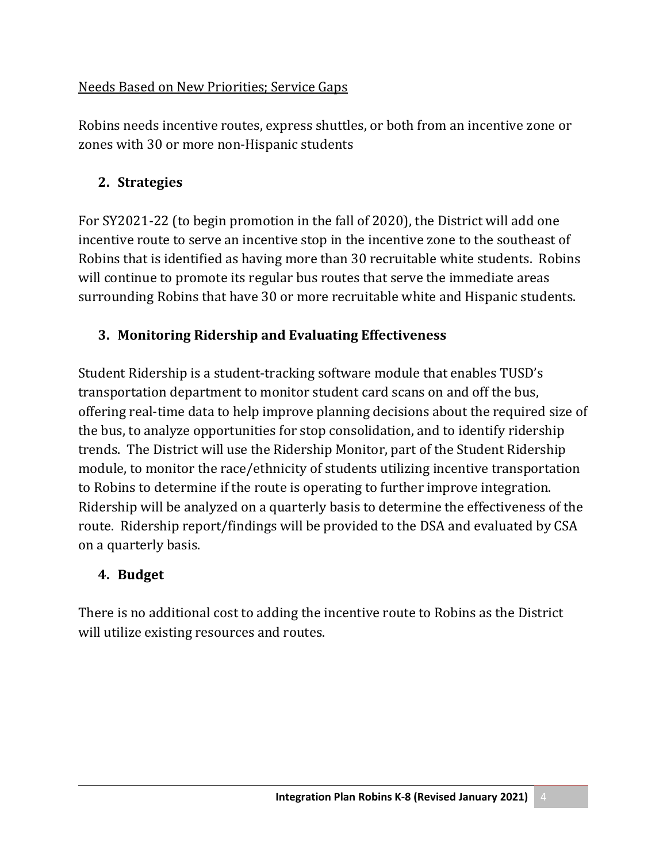## Needs Based on New Priorities; Service Gaps

Robins needs incentive routes, express shuttles, or both from an incentive zone or zones with 30 or more non-Hispanic students

# **2. Strategies**

For SY2021-22 (to begin promotion in the fall of 2020), the District will add one incentive route to serve an incentive stop in the incentive zone to the southeast of Robins that is identified as having more than 30 recruitable white students. Robins will continue to promote its regular bus routes that serve the immediate areas surrounding Robins that have 30 or more recruitable white and Hispanic students.

# **3. Monitoring Ridership and Evaluating Effectiveness**

Student Ridership is a student-tracking software module that enables TUSD's transportation department to monitor student card scans on and off the bus, offering real-time data to help improve planning decisions about the required size of the bus, to analyze opportunities for stop consolidation, and to identify ridership trends. The District will use the Ridership Monitor, part of the Student Ridership module, to monitor the race/ethnicity of students utilizing incentive transportation to Robins to determine if the route is operating to further improve integration. Ridership will be analyzed on a quarterly basis to determine the effectiveness of the route. Ridership report/findings will be provided to the DSA and evaluated by CSA on a quarterly basis.

## **4. Budget**

There is no additional cost to adding the incentive route to Robins as the District will utilize existing resources and routes.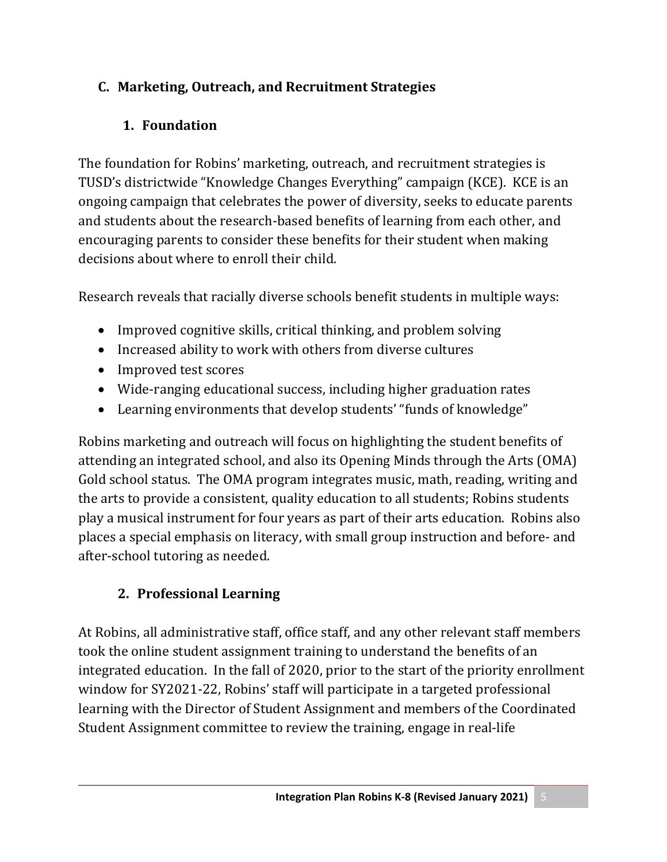# **C. Marketing, Outreach, and Recruitment Strategies**

# **1. Foundation**

The foundation for Robins' marketing, outreach, and recruitment strategies is TUSD's districtwide "Knowledge Changes Everything" campaign (KCE). KCE is an ongoing campaign that celebrates the power of diversity, seeks to educate parents and students about the research-based benefits of learning from each other, and encouraging parents to consider these benefits for their student when making decisions about where to enroll their child.

Research reveals that racially diverse schools benefit students in multiple ways:

- Improved cognitive skills, critical thinking, and problem solving
- Increased ability to work with others from diverse cultures
- Improved test scores
- Wide-ranging educational success, including higher graduation rates
- Learning environments that develop students' "funds of knowledge"

Robins marketing and outreach will focus on highlighting the student benefits of attending an integrated school, and also its Opening Minds through the Arts (OMA) Gold school status. The OMA program integrates music, math, reading, writing and the arts to provide a consistent, quality education to all students; Robins students play a musical instrument for four years as part of their arts education. Robins also places a special emphasis on literacy, with small group instruction and before- and after-school tutoring as needed.

# **2. Professional Learning**

At Robins, all administrative staff, office staff, and any other relevant staff members took the online student assignment training to understand the benefits of an integrated education. In the fall of 2020, prior to the start of the priority enrollment window for SY2021-22, Robins' staff will participate in a targeted professional learning with the Director of Student Assignment and members of the Coordinated Student Assignment committee to review the training, engage in real-life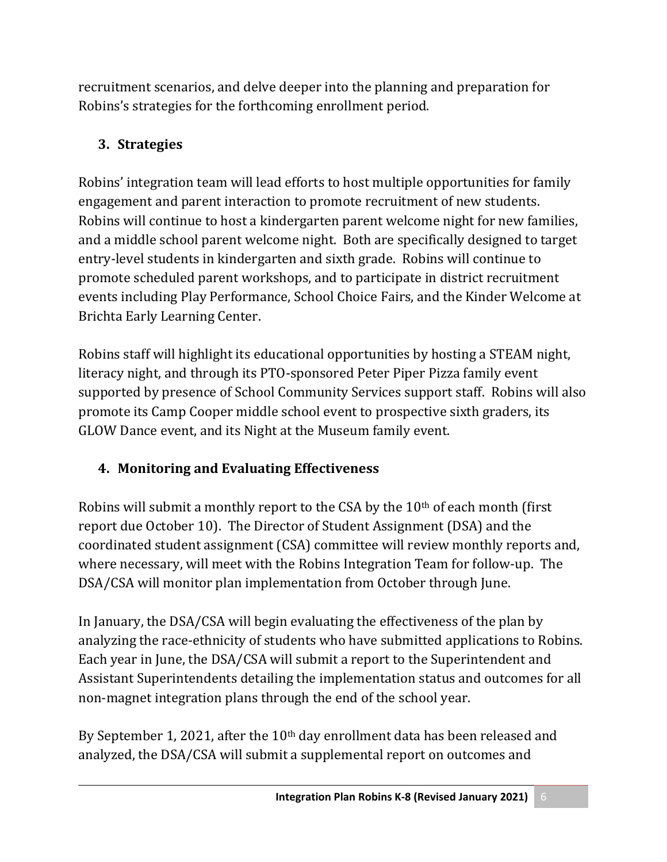recruitment scenarios, and delve deeper into the planning and preparation for Robins's strategies for the forthcoming enrollment period.

# **3. Strategies**

Robins' integration team will lead efforts to host multiple opportunities for family engagement and parent interaction to promote recruitment of new students. Robins will continue to host a kindergarten parent welcome night for new families, and a middle school parent welcome night. Both are specifically designed to target entry-level students in kindergarten and sixth grade. Robins will continue to promote scheduled parent workshops, and to participate in district recruitment events including Play Performance, School Choice Fairs, and the Kinder Welcome at Brichta Early Learning Center.

Robins staff will highlight its educational opportunities by hosting a STEAM night, literacy night, and through its PTO-sponsored Peter Piper Pizza family event supported by presence of School Community Services support staff. Robins will also promote its Camp Cooper middle school event to prospective sixth graders, its GLOW Dance event, and its Night at the Museum family event.

# **4. Monitoring and Evaluating Effectiveness**

Robins will submit a monthly report to the CSA by the  $10<sup>th</sup>$  of each month (first report due October 10). The Director of Student Assignment (DSA) and the coordinated student assignment (CSA) committee will review monthly reports and, where necessary, will meet with the Robins Integration Team for follow-up. The DSA/CSA will monitor plan implementation from October through June.

In January, the DSA/CSA will begin evaluating the effectiveness of the plan by analyzing the race-ethnicity of students who have submitted applications to Robins. Each year in June, the DSA/CSA will submit a report to the Superintendent and Assistant Superintendents detailing the implementation status and outcomes for all non-magnet integration plans through the end of the school year.

By September 1, 2021, after the 10<sup>th</sup> day enrollment data has been released and analyzed, the DSA/CSA will submit a supplemental report on outcomes and